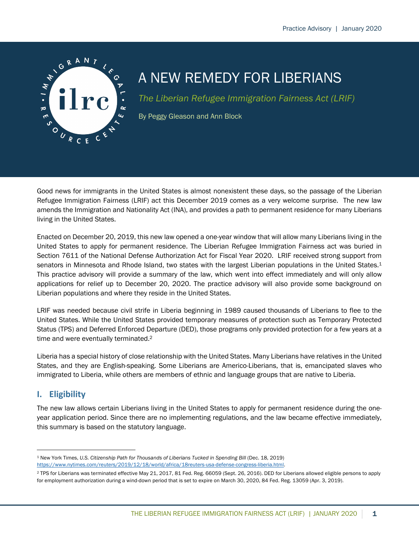

# A NEW REMEDY FOR LIBERIANS

*The Liberian Refugee Immigration Fairness Act (LRIF)*

By Peggy Gleason and Ann Block

Good news for immigrants in the United States is almost nonexistent these days, so the passage of the Liberian Refugee Immigration Fairness (LRIF) act this December 2019 comes as a very welcome surprise. The new law amends the Immigration and Nationality Act (INA), and provides a path to permanent residence for many Liberians living in the United States.

Enacted on December 20, 2019, this new law opened a one-year window that will allow many Liberians living in the United States to apply for permanent residence. The Liberian Refugee Immigration Fairness act was buried in Section 7611 of the National Defense Authorization Act for Fiscal Year 2020. LRIF received strong support from senators in Minnesota and Rhode Island, two states with the largest Liberian populations in the United States.<sup>1</sup> This practice advisory will provide a summary of the law, which went into effect immediately and will only allow applications for relief up to December 20, 2020. The practice advisory will also provide some background on Liberian populations and where they reside in the United States.

LRIF was needed because civil strife in Liberia beginning in 1989 caused thousands of Liberians to flee to the United States. While the United States provided temporary measures of protection such as Temporary Protected Status (TPS) and Deferred Enforced Departure (DED), those programs only provided protection for a few years at a time and were eventually terminated.2

Liberia has a special history of close relationship with the United States. Many Liberians have relatives in the United States, and they are English-speaking. Some Liberians are Americo-Liberians, that is, emancipated slaves who immigrated to Liberia, while others are members of ethnic and language groups that are native to Liberia.

# **I. Eligibility**

The new law allows certain Liberians living in the United States to apply for permanent residence during the oneyear application period. Since there are no implementing regulations, and the law became effective immediately, this summary is based on the statutory language.

<sup>1</sup> New York Times, *U.S. Citizenship Path for Thousands of Liberians Tucked in Spending Bill* (Dec. 18, 2019) https://www.nytimes.com/reuters/2019/12/18/world/africa/18reuters-usa-defense-congress-liberia.html.

<sup>2</sup> TPS for Liberians was terminated effective May 21, 2017, 81 Fed. Reg. 66059 (Sept. 26, 2016). DED for Liberians allowed eligible persons to apply for employment authorization during a wind-down period that is set to expire on March 30, 2020, 84 Fed. Reg. 13059 (Apr. 3, 2019).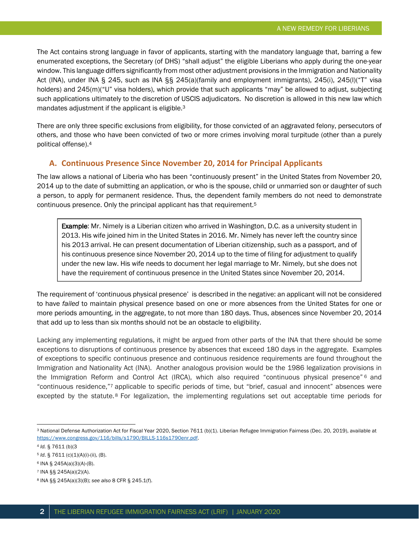The Act contains strong language in favor of applicants, starting with the mandatory language that, barring a few enumerated exceptions, the Secretary (of DHS) "shall adjust" the eligible Liberians who apply during the one-year window. This language differs significantly from most other adjustment provisions in the Immigration and Nationality Act (INA), under INA § 245, such as INA §§ 245(a)(family and employment immigrants), 245(i), 245(l)("T" visa holders) and 245(m)("U" visa holders), which provide that such applicants "may" be allowed to adjust, subjecting such applications ultimately to the discretion of USCIS adjudicators. No discretion is allowed in this new law which mandates adjustment if the applicant is eligible.<sup>3</sup>

There are only three specific exclusions from eligibility, for those convicted of an aggravated felony, persecutors of others, and those who have been convicted of two or more crimes involving moral turpitude (other than a purely political offense).4

# **A. Continuous Presence Since November 20, 2014 for Principal Applicants**

The law allows a national of Liberia who has been "continuously present" in the United States from November 20, 2014 up to the date of submitting an application, or who is the spouse, child or unmarried son or daughter of such a person, to apply for permanent residence. Thus, the dependent family members do not need to demonstrate continuous presence. Only the principal applicant has that requirement.5

Example: Mr. Nimely is a Liberian citizen who arrived in Washington, D.C. as a university student in 2013. His wife joined him in the United States in 2016. Mr. Nimely has never left the country since his 2013 arrival. He can present documentation of Liberian citizenship, such as a passport, and of his continuous presence since November 20, 2014 up to the time of filing for adjustment to qualify under the new law. His wife needs to document her legal marriage to Mr. Nimely, but she does not have the requirement of continuous presence in the United States since November 20, 2014.

The requirement of 'continuous physical presence' is described in the negative: an applicant will not be considered to have *failed* to maintain physical presence based on one or more absences from the United States for one or more periods amounting, in the aggregate, to not more than 180 days. Thus, absences since November 20, 2014 that add up to less than six months should not be an obstacle to eligibility.

Lacking any implementing regulations, it might be argued from other parts of the INA that there should be some exceptions to disruptions of continuous presence by absences that exceed 180 days in the aggregate. Examples of exceptions to specific continuous presence and continuous residence requirements are found throughout the Immigration and Nationality Act (INA). Another analogous provision would be the 1986 legalization provisions in the Immigration Reform and Control Act (IRCA), which also required "continuous physical presence" <sup>6</sup> and "continuous residence,"7 applicable to specific periods of time, but "brief, casual and innocent" absences were excepted by the statute.<sup>8</sup> For legalization, the implementing regulations set out acceptable time periods for

<sup>3</sup> National Defense Authorization Act for Fiscal Year 2020, Section 7611 (b)(1). Liberian Refugee Immigration Fairness (Dec. 20, 2019), available at https://www.congress.gov/116/bills/s1790/BILLS-116s1790enr.pdf.

<sup>4</sup> *Id.* § 7611 (b)(3

<sup>5</sup> *Id*. § 7611 (c)(1)(A)(i)-(ii), (B).

<sup>6</sup> INA § 245A(a)(3)(A)-(B).

<sup>7</sup> INA §§ 245A(a)(2)(A).

<sup>8</sup> INA §§ 245A(a)(3)(B); *see also* 8 CFR § 245.1(f).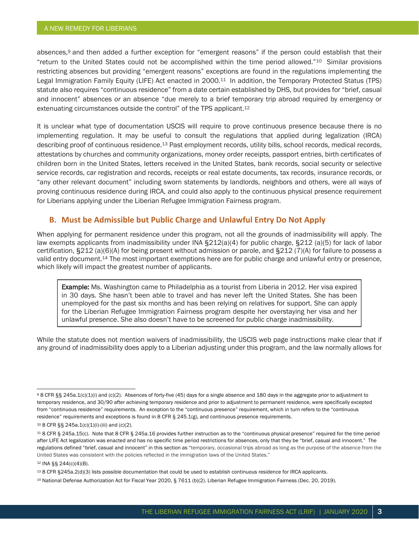absences,9 and then added a further exception for "emergent reasons" if the person could establish that their "return to the United States could not be accomplished within the time period allowed."10 Similar provisions restricting absences but providing "emergent reasons" exceptions are found in the regulations implementing the Legal Immigration Family Equity (LIFE) Act enacted in 2000.<sup>11</sup> In addition, the Temporary Protected Status (TPS) statute also requires "continuous residence" from a date certain established by DHS, but provides for "brief, casual and innocent" absences *or* an absence "due merely to a brief temporary trip abroad required by emergency or extenuating circumstances outside the control" of the TPS applicant.<sup>12</sup>

It is unclear what type of documentation USCIS will require to prove continuous presence because there is no implementing regulation. It may be useful to consult the regulations that applied during legalization (IRCA) describing proof of continuous residence.<sup>13</sup> Past employment records, utility bills, school records, medical records, attestations by churches and community organizations, money order receipts, passport entries, birth certificates of children born in the United States, letters received in the United States, bank records, social security or selective service records, car registration and records, receipts or real estate documents, tax records, insurance records, or "any other relevant document" including sworn statements by landlords, neighbors and others, were all ways of proving continuous residence during IRCA, and could also apply to the continuous physical presence requirement for Liberians applying under the Liberian Refugee Immigration Fairness program.

#### **B. Must be Admissible but Public Charge and Unlawful Entry Do Not Apply**

When applying for permanent residence under this program, not all the grounds of inadmissibility will apply. The law exempts applicants from inadmissibility under INA §212(a)(4) for public charge, §212 (a)(5) for lack of labor certification, §212 (a)(6)(A) for being present without admission or parole, and §212 (7)(A) for failure to possess a valid entry document.14 The most important exemptions here are for public charge and unlawful entry or presence, which likely will impact the greatest number of applicants.

**Example:** Ms. Washington came to Philadelphia as a tourist from Liberia in 2012. Her visa expired in 30 days. She hasn't been able to travel and has never left the United States. She has been unemployed for the past six months and has been relying on relatives for support. She can apply for the Liberian Refugee Immigration Fairness program despite her overstaying her visa and her unlawful presence. She also doesn't have to be screened for public charge inadmissibility.

While the statute does not mention waivers of inadmissibility, the USCIS web page instructions make clear that if any ground of inadmissibility does apply to a Liberian adjusting under this program, and the law normally allows for

<sup>12</sup> INA §§ 244(c)(4)(B).

<sup>9</sup> 8 CFR §§ 245a.1(c)(1)(i) and (c)(2). Absences of forty-five (45) days for a single absence and 180 days in the aggregate prior to adjustment to temporary residence, and 30/90 after achieving temporary residence and prior to adjustment to permanent residence, were specifically excepted from "continuous residence" requirements. An exception to the "continuous presence" requirement, which in turn refers to the "continuous residence" requirements and exceptions is found in 8 CFR § 245.1(g), and continuous presence requirements.

<sup>10</sup> 8 CFR §§ 245a.1(c)(1)(i)-(iii) and (c)(2).

<sup>11</sup> 8 CFR § 245a.15(c). Note that 8 CFR § 245a.16 provides further instruction as to the "continuous physical presence" required for the time period after LIFE Act legalization was enacted and has no specific time period restrictions for absences, only that they be "brief, casual and innocent." The regulations defined "brief, casual and innocent" in this section as "temporary, occasional trips abroad as long as the purpose of the absence from the United States was consistent with the policies reflected in the immigration laws of the United States."

<sup>13</sup> 8 CFR §245a.2(d)(3) lists possible documentation that could be used to establish continuous residence for IRCA applicants.

<sup>14</sup> National Defense Authorization Act for Fiscal Year 2020, § 7611 (b)(2). Liberian Refugee Immigration Fairness (Dec. 20, 2019).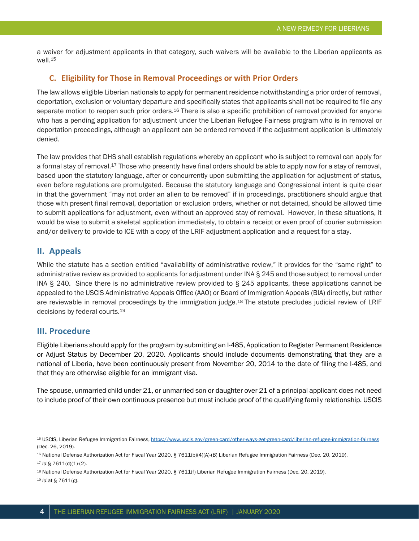a waiver for adjustment applicants in that category, such waivers will be available to the Liberian applicants as well.15

# **C. Eligibility for Those in Removal Proceedings or with Prior Orders**

The law allows eligible Liberian nationals to apply for permanent residence notwithstanding a prior order of removal, deportation, exclusion or voluntary departure and specifically states that applicants shall not be required to file any separate motion to reopen such prior orders.<sup>16</sup> There is also a specific prohibition of removal provided for anyone who has a pending application for adjustment under the Liberian Refugee Fairness program who is in removal or deportation proceedings, although an applicant can be ordered removed if the adjustment application is ultimately denied.

The law provides that DHS shall establish regulations whereby an applicant who is subject to removal can apply for a formal stay of removal.17 Those who presently have final orders should be able to apply now for a stay of removal, based upon the statutory language, after or concurrently upon submitting the application for adjustment of status, even before regulations are promulgated. Because the statutory language and Congressional intent is quite clear in that the government "may not order an alien to be removed" if in proceedings, practitioners should argue that those with present final removal, deportation or exclusion orders, whether or not detained, should be allowed time to submit applications for adjustment, even without an approved stay of removal. However, in these situations, it would be wise to submit a skeletal application immediately, to obtain a receipt or even proof of courier submission and/or delivery to provide to ICE with a copy of the LRIF adjustment application and a request for a stay.

# **II. Appeals**

While the statute has a section entitled "availability of administrative review," it provides for the "same right" to administrative review as provided to applicants for adjustment under INA § 245 and those subject to removal under INA § 240. Since there is no administrative review provided to § 245 applicants, these applications cannot be appealed to the USCIS Administrative Appeals Office (AAO) or Board of Immigration Appeals (BIA) directly, but rather are reviewable in removal proceedings by the immigration judge.18 The statute precludes judicial review of LRIF decisions by federal courts.19

# **III. Procedure**

Eligible Liberians should apply for the program by submitting an I-485, Application to Register Permanent Residence or Adjust Status by December 20, 2020. Applicants should include documents demonstrating that they are a national of Liberia, have been continuously present from November 20, 2014 to the date of filing the I-485, and that they are otherwise eligible for an immigrant visa.

The spouse, unmarried child under 21, or unmarried son or daughter over 21 of a principal applicant does not need to include proof of their own continuous presence but must include proof of the qualifying family relationship. USCIS

<sup>19</sup> *Id.*at § 7611(g).

<sup>15</sup> USCIS, Liberian Refugee Immigration Fairness, https://www.uscis.gov/green-card/other-ways-get-green-card/liberian-refugee-immigration-fairness (Dec. 26, 2019).

<sup>16</sup> National Defense Authorization Act for Fiscal Year 2020, § 7611(b)(4)(A)-(B) Liberian Refugee Immigration Fairness (Dec. 20, 2019).

<sup>17</sup> *Id.*§ 7611(d)(1)-(2).

<sup>18</sup> National Defense Authorization Act for Fiscal Year 2020, § 7611(f) Liberian Refugee Immigration Fairness (Dec. 20, 2019).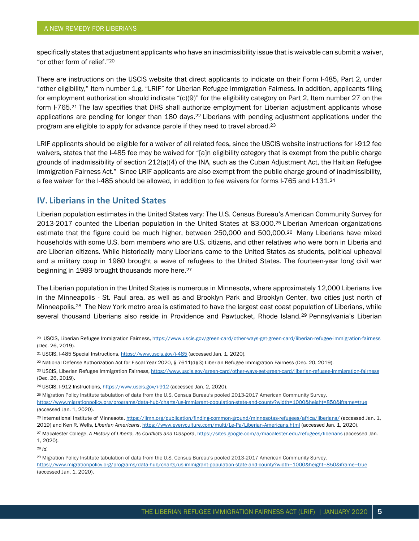specifically states that adjustment applicants who have an inadmissibility issue that is waivable can submit a waiver, "or other form of relief."20

There are instructions on the USCIS website that direct applicants to indicate on their Form I-485, Part 2, under "other eligibility," Item number 1.g, "LRIF" for Liberian Refugee Immigration Fairness. In addition, applicants filing for employment authorization should indicate "(c)(9)" for the eligibility category on Part 2, Item number 27 on the form I-765.<sup>21</sup> The law specifies that DHS shall authorize employment for Liberian adjustment applicants whose applications are pending for longer than 180 days.22 Liberians with pending adjustment applications under the program are eligible to apply for advance parole if they need to travel abroad.23

LRIF applicants should be eligible for a waiver of all related fees, since the USCIS website instructions for I-912 fee waivers, states that the I-485 fee may be waived for "[a]n eligibility category that is exempt from the public charge grounds of inadmissibility of section 212(a)(4) of the INA, such as the Cuban Adjustment Act, the Haitian Refugee Immigration Fairness Act." Since LRIF applicants are also exempt from the public charge ground of inadmissibility, a fee waiver for the I-485 should be allowed, in addition to fee waivers for forms I-765 and I-131.24

# **IV. Liberians in the United States**

Liberian population estimates in the United States vary: The U.S. Census Bureau's American Community Survey for 2013-2017 counted the Liberian population in the United States at 83,000.25 Liberian American organizations estimate that the figure could be much higher, between 250,000 and 500,000.26 Many Liberians have mixed households with some U.S. born members who are U.S. citizens, and other relatives who were born in Liberia and are Liberian citizens. While historically many Liberians came to the United States as students, political upheaval and a military coup in 1980 brought a wave of refugees to the United States. The fourteen-year long civil war beginning in 1989 brought thousands more here.<sup>27</sup>

The Liberian population in the United States is numerous in Minnesota, where approximately 12,000 Liberians live in the Minneapolis - St. Paul area, as well as and Brooklyn Park and Brooklyn Center, two cities just north of Minneapolis.28 The New York metro area is estimated to have the largest east coast population of Liberians, while several thousand Liberians also reside in Providence and Pawtucket, Rhode Island.<sup>29</sup> Pennsylvania's Liberian

<sup>28</sup> *Id.*

<sup>&</sup>lt;sup>20</sup> USCIS, Liberian Refugee Immigration Fairness, https://www.uscis.gov/green-card/other-ways-get-green-card/liberian-refugee-immigration-fairness (Dec. 26, 2019).

<sup>21</sup> USCIS, I-485 Special Instructions, https://www.uscis.gov/i-485 (accessed Jan. 1, 2020).

<sup>22</sup> National Defense Authorization Act for Fiscal Year 2020, § 7611(d)(3) Liberian Refugee Immigration Fairness (Dec. 20, 2019).

<sup>&</sup>lt;sup>23</sup> USCIS, Liberian Refugee Immigration Fairness, https://www.uscis.gov/green-card/other-ways-get-green-card/liberian-refugee-immigration-fairness (Dec. 26, 2019).

<sup>&</sup>lt;sup>24</sup> USCIS, I-912 Instructions, https://www.uscis.gov/i-912 (accessed Jan. 2, 2020).

<sup>25</sup> Migration Policy Institute tabulation of data from the U.S. Census Bureau's pooled 2013-2017 American Community Survey.

https://www.migrationpolicy.org/programs/data-hub/charts/us-immigrant-population-state-and-county?width=1000&height=850&iframe=true (accessed Jan. 1, 2020).

<sup>26</sup> International Institute of Minnesota, https://iimn.org/publication/finding-common-ground/minnesotas-refugees/africa/liberians/ (accessed Jan. 1, 2019) and Ken R. Wells, *Liberian Americans*, https://www.everyculture.com/multi/Le-Pa/Liberian-Americans.html (accessed Jan. 1, 2020).

<sup>27</sup> Macalester College, *A History of Liberia, its Conflicts and Diaspora*, https://sites.google.com/a/macalester.edu/refugees/liberians (accessed Jan. 1, 2020).

<sup>29</sup> Migration Policy Institute tabulation of data from the U.S. Census Bureau's pooled 2013-2017 American Community Survey. https://www.migrationpolicy.org/programs/data-hub/charts/us-immigrant-population-state-and-county?width=1000&height=850&iframe=true (accessed Jan. 1, 2020).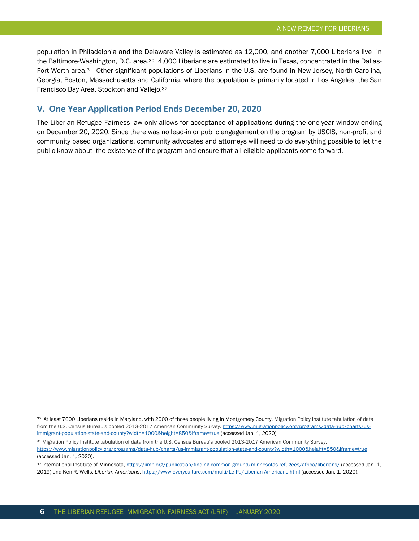population in Philadelphia and the Delaware Valley is estimated as 12,000, and another 7,000 Liberians live in the Baltimore-Washington, D.C. area.<sup>30</sup> 4,000 Liberians are estimated to live in Texas, concentrated in the Dallas-Fort Worth area.31 Other significant populations of Liberians in the U.S. are found in New Jersey, North Carolina, Georgia, Boston, Massachusetts and California, where the population is primarily located in Los Angeles, the San Francisco Bay Area, Stockton and Vallejo.32

#### **V. One Year Application Period Ends December 20, 2020**

The Liberian Refugee Fairness law only allows for acceptance of applications during the one-year window ending on December 20, 2020. Since there was no lead-in or public engagement on the program by USCIS, non-profit and community based organizations, community advocates and attorneys will need to do everything possible to let the public know about the existence of the program and ensure that all eligible applicants come forward.

<sup>30</sup> At least 7000 Liberians reside in Maryland, with 2000 of those people living in Montgomery County. Migration Policy Institute tabulation of data from the U.S. Census Bureau's pooled 2013-2017 American Community Survey. https://www.migrationpolicy.org/programs/data-hub/charts/usimmigrant-population-state-and-county?width=1000&height=850&iframe=true (accessed Jan. 1, 2020).

<sup>31</sup> Migration Policy Institute tabulation of data from the U.S. Census Bureau's pooled 2013-2017 American Community Survey. https://www.migrationpolicy.org/programs/data-hub/charts/us-immigrant-population-state-and-county?width=1000&height=850&iframe=true (accessed Jan. 1, 2020).

<sup>32</sup> International Institute of Minnesota, https://iimn.org/publication/finding-common-ground/minnesotas-refugees/africa/liberians/ (accessed Jan. 1, 2019) and Ken R. Wells, *Liberian Americans*, https://www.everyculture.com/multi/Le-Pa/Liberian-Americans.html (accessed Jan. 1, 2020).